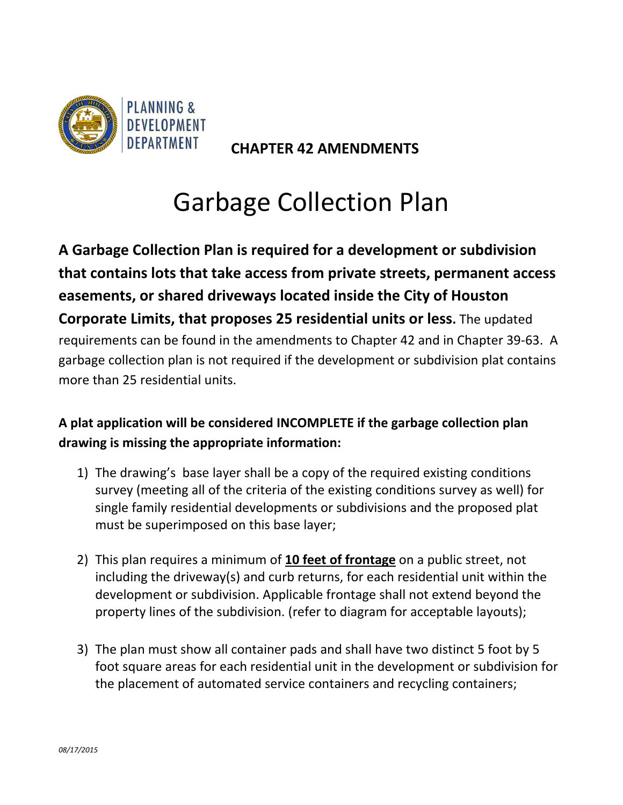

 **CHAPTER 42 AMENDMENTS**

## Garbage Collection Plan

**A Garbage Collection Plan is required for a development or subdivision that contains lots that take access from private streets, permanent access easements, or shared driveways located inside the City of Houston Corporate Limits, that proposes 25 residential units or less.** The updated requirements can be found in the amendments to Chapter 42 and in Chapter 39‐63. A garbage collection plan is not required if the development or subdivision plat contains more than 25 residential units.

## **A plat application will be considered INCOMPLETE if the garbage collection plan drawing is missing the appropriate information:**

- 1) The drawing's base layer shall be a copy of the required existing conditions survey (meeting all of the criteria of the existing conditions survey as well) for single family residential developments or subdivisions and the proposed plat must be superimposed on this base layer;
- 2) This plan requires a minimum of **10 feet of frontage** on a public street, not including the driveway(s) and curb returns, for each residential unit within the development or subdivision. Applicable frontage shall not extend beyond the property lines of the subdivision. (refer to diagram for acceptable layouts);
- 3) The plan must show all container pads and shall have two distinct 5 foot by 5 foot square areas for each residential unit in the development or subdivision for the placement of automated service containers and recycling containers;